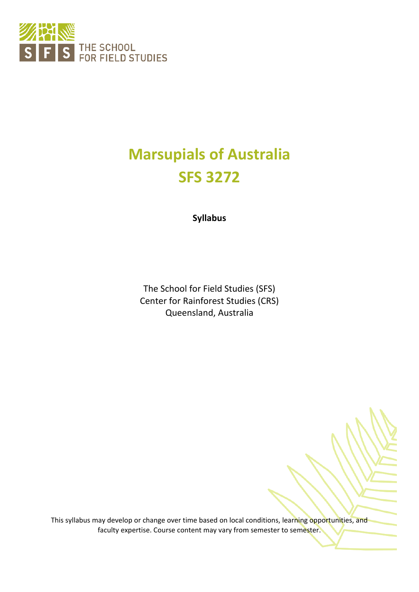

# **Marsupials of Australia SFS 3272**

**Syllabus**

The School for Field Studies (SFS) Center for Rainforest Studies (CRS) Queensland, Australia

This syllabus may develop or change over time based on local conditions, learning opportunities, and faculty expertise. Course content may vary from semester to semester.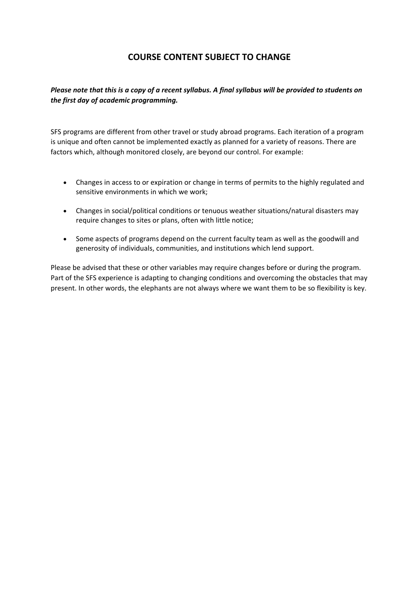## **COURSE CONTENT SUBJECT TO CHANGE**

#### *Please note that this is a copy of a recent syllabus. A final syllabus will be provided to students on the first day of academic programming.*

SFS programs are different from other travel or study abroad programs. Each iteration of a program is unique and often cannot be implemented exactly as planned for a variety of reasons. There are factors which, although monitored closely, are beyond our control. For example:

- Changes in access to or expiration or change in terms of permits to the highly regulated and sensitive environments in which we work;
- Changes in social/political conditions or tenuous weather situations/natural disasters may require changes to sites or plans, often with little notice;
- Some aspects of programs depend on the current faculty team as well as the goodwill and generosity of individuals, communities, and institutions which lend support.

Please be advised that these or other variables may require changes before or during the program. Part of the SFS experience is adapting to changing conditions and overcoming the obstacles that may present. In other words, the elephants are not always where we want them to be so flexibility is key.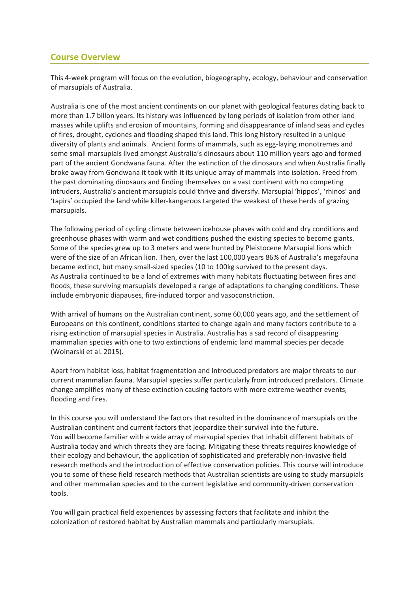## **Course Overview**

This 4-week program will focus on the evolution, biogeography, ecology, behaviour and conservation of marsupials of Australia.

Australia is one of the most ancient continents on our planet with geological features dating back to more than 1.7 billon years. Its history was influenced by long periods of isolation from other land masses while uplifts and erosion of mountains, forming and disappearance of inland seas and cycles of fires, drought, cyclones and flooding shaped this land. This long history resulted in a unique diversity of plants and animals. Ancient forms of mammals, such as egg-laying monotremes and some small marsupials lived amongst Australia's dinosaurs about 110 million years ago and formed part of the ancient Gondwana fauna. After the extinction of the dinosaurs and when Australia finally broke away from Gondwana it took with it its unique array of mammals into isolation. Freed from the past dominating dinosaurs and finding themselves on a vast continent with no competing intruders, Australia's ancient marsupials could thrive and diversify. Marsupial 'hippos', 'rhinos' and 'tapirs' occupied the land while killer-kangaroos targeted the weakest of these herds of grazing marsupials.

The following period of cycling climate between icehouse phases with cold and dry conditions and greenhouse phases with warm and wet conditions pushed the existing species to become giants. Some of the species grew up to 3 meters and were hunted by Pleistocene Marsupial lions which were of the size of an African lion. Then, over the last 100,000 years 86% of Australia's megafauna became extinct, but many small-sized species (10 to 100kg survived to the present days. As Australia continued to be a land of extremes with many habitats fluctuating between fires and floods, these surviving marsupials developed a range of adaptations to changing conditions. These include embryonic diapauses, fire-induced torpor and vasoconstriction.

With arrival of humans on the Australian continent, some 60,000 years ago, and the settlement of Europeans on this continent, conditions started to change again and many factors contribute to a rising extinction of marsupial species in Australia. Australia has a sad record of disappearing mammalian species with one to two extinctions of endemic land mammal species per decade (Woinarski et al. 2015).

Apart from habitat loss, habitat fragmentation and introduced predators are major threats to our current mammalian fauna. Marsupial species suffer particularly from introduced predators. Climate change amplifies many of these extinction causing factors with more extreme weather events, flooding and fires.

In this course you will understand the factors that resulted in the dominance of marsupials on the Australian continent and current factors that jeopardize their survival into the future. You will become familiar with a wide array of marsupial species that inhabit different habitats of Australia today and which threats they are facing. Mitigating these threats requires knowledge of their ecology and behaviour, the application of sophisticated and preferably non-invasive field research methods and the introduction of effective conservation policies. This course will introduce you to some of these field research methods that Australian scientists are using to study marsupials and other mammalian species and to the current legislative and community-driven conservation tools.

You will gain practical field experiences by assessing factors that facilitate and inhibit the colonization of restored habitat by Australian mammals and particularly marsupials.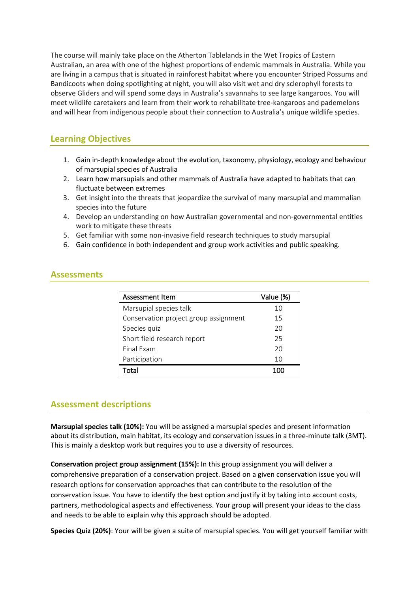The course will mainly take place on the Atherton Tablelands in the Wet Tropics of Eastern Australian, an area with one of the highest proportions of endemic mammals in Australia. While you are living in a campus that is situated in rainforest habitat where you encounter Striped Possums and Bandicoots when doing spotlighting at night, you will also visit wet and dry sclerophyll forests to observe Gliders and will spend some days in Australia's savannahs to see large kangaroos. You will meet wildlife caretakers and learn from their work to rehabilitate tree-kangaroos and pademelons and will hear from indigenous people about their connection to Australia's unique wildlife species.

## **Learning Objectives**

- 1. Gain in-depth knowledge about the evolution, taxonomy, physiology, ecology and behaviour of marsupial species of Australia
- 2. Learn how marsupials and other mammals of Australia have adapted to habitats that can fluctuate between extremes
- 3. Get insight into the threats that jeopardize the survival of many marsupial and mammalian species into the future
- 4. Develop an understanding on how Australian governmental and non-governmental entities work to mitigate these threats
- 5. Get familiar with some non-invasive field research techniques to study marsupial
- 6. Gain confidence in both independent and group work activities and public speaking.

#### **Assessments**

| Assessment Item                       | Value (%) |
|---------------------------------------|-----------|
| Marsupial species talk                | 10        |
| Conservation project group assignment | 15        |
| Species quiz                          | 20        |
| Short field research report           | 25        |
| Final Fxam                            | 20        |
| Participation                         | 10        |
| Total                                 |           |

## **Assessment descriptions**

**Marsupial species talk (10%):** You will be assigned a marsupial species and present information about its distribution, main habitat, its ecology and conservation issues in a three-minute talk (3MT). This is mainly a desktop work but requires you to use a diversity of resources.

**Conservation project group assignment (15%):** In this group assignment you will deliver a comprehensive preparation of a conservation project. Based on a given conservation issue you will research options for conservation approaches that can contribute to the resolution of the conservation issue. You have to identify the best option and justify it by taking into account costs, partners, methodological aspects and effectiveness. Your group will present your ideas to the class and needs to be able to explain why this approach should be adopted.

**Species Quiz (20%)**: Your will be given a suite of marsupial species. You will get yourself familiar with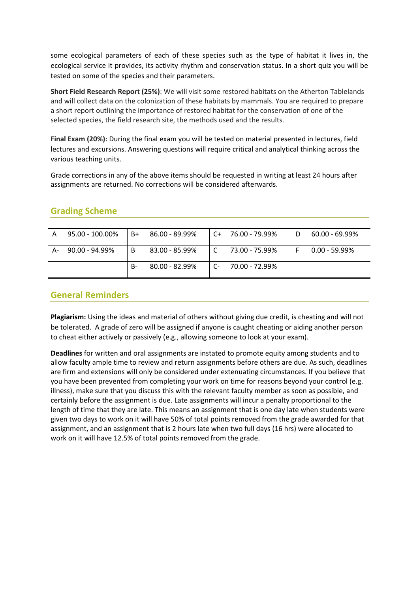some ecological parameters of each of these species such as the type of habitat it lives in, the ecological service it provides, its activity rhythm and conservation status. In a short quiz you will be tested on some of the species and their parameters.

**Short Field Research Report (25%)**: We will visit some restored habitats on the Atherton Tablelands and will collect data on the colonization of these habitats by mammals. You are required to prepare a short report outlining the importance of restored habitat for the conservation of one of the selected species, the field research site, the methods used and the results.

**Final Exam (20%):** During the final exam you will be tested on material presented in lectures, field lectures and excursions. Answering questions will require critical and analytical thinking across the various teaching units.

Grade corrections in any of the above items should be requested in writing at least 24 hours after assignments are returned. No corrections will be considered afterwards.

## **Grading Scheme**

| A  | 95.00 - 100.00% | B+ | 86.00 - 89.99% | ⊥ C+ | 76.00 - 79.99% | $60.00 - 69.99\%$ |
|----|-----------------|----|----------------|------|----------------|-------------------|
| A- | 90.00 - 94.99%  | B  | 83.00 - 85.99% |      | 73.00 - 75.99% | $0.00 - 59.99\%$  |
|    |                 | В- | 80.00 - 82.99% | - C  | 70.00 - 72.99% |                   |

### **General Reminders**

**Plagiarism:** Using the ideas and material of others without giving due credit, is cheating and will not be tolerated. A grade of zero will be assigned if anyone is caught cheating or aiding another person to cheat either actively or passively (e.g., allowing someone to look at your exam).

**Deadlines** for written and oral assignments are instated to promote equity among students and to allow faculty ample time to review and return assignments before others are due. As such, deadlines are firm and extensions will only be considered under extenuating circumstances. If you believe that you have been prevented from completing your work on time for reasons beyond your control (e.g. illness), make sure that you discuss this with the relevant faculty member as soon as possible, and certainly before the assignment is due. Late assignments will incur a penalty proportional to the length of time that they are late. This means an assignment that is one day late when students were given two days to work on it will have 50% of total points removed from the grade awarded for that assignment, and an assignment that is 2 hours late when two full days (16 hrs) were allocated to work on it will have 12.5% of total points removed from the grade.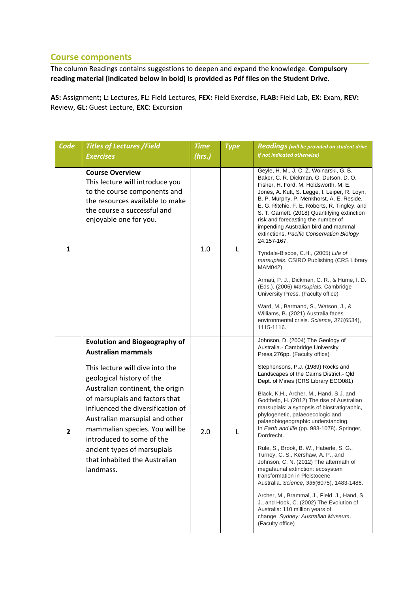### **Course components**

The column Readings contains suggestions to deepen and expand the knowledge. **Compulsory reading material (indicated below in bold) is provided as Pdf files on the Student Drive.**

**AS:** Assignment**; L:** Lectures, **FL:** Field Lectures, **FEX:** Field Exercise, **FLAB:** Field Lab, **EX**: Exam, **REV:** Review, **GL:** Guest Lecture, **EXC**: Excursion

| Code           | <b>Titles of Lectures /Field</b>                                                                                                                                                                                                                                                                                                                      | <b>Time</b> | <b>Type</b> | <b>Readings</b> (will be provided on student drive                                                                                                                                                                                                                                                                                                                                                                                                                                                                                                                  |
|----------------|-------------------------------------------------------------------------------------------------------------------------------------------------------------------------------------------------------------------------------------------------------------------------------------------------------------------------------------------------------|-------------|-------------|---------------------------------------------------------------------------------------------------------------------------------------------------------------------------------------------------------------------------------------------------------------------------------------------------------------------------------------------------------------------------------------------------------------------------------------------------------------------------------------------------------------------------------------------------------------------|
|                | <b>Exercises</b>                                                                                                                                                                                                                                                                                                                                      | (hrs.)      |             | if not indicated otherwise)                                                                                                                                                                                                                                                                                                                                                                                                                                                                                                                                         |
|                |                                                                                                                                                                                                                                                                                                                                                       |             |             |                                                                                                                                                                                                                                                                                                                                                                                                                                                                                                                                                                     |
| $\mathbf{1}$   | <b>Course Overview</b><br>This lecture will introduce you<br>to the course components and<br>the resources available to make<br>the course a successful and<br>enjoyable one for you.                                                                                                                                                                 | 1.0         | L           | Geyle, H. M., J. C. Z. Woinarski, G. B.<br>Baker, C. R. Dickman, G. Dutson, D. O.<br>Fisher, H. Ford, M. Holdsworth, M. E.<br>Jones, A. Kutt, S. Legge, I. Leiper, R. Loyn,<br>B. P. Murphy, P. Menkhorst, A. E. Reside,<br>E. G. Ritchie, F. E. Roberts, R. Tingley, and<br>S. T. Garnett. (2018) Quantifying extinction<br>risk and forecasting the number of<br>impending Australian bird and mammal<br>extinctions. Pacific Conservation Biology<br>24:157-167.<br>Tyndale-Biscoe, C.H., (2005) Life of<br>marsupials. CSIRO Publishing (CRS Library<br>MAM042) |
|                |                                                                                                                                                                                                                                                                                                                                                       |             |             | Armati, P. J., Dickman, C. R., & Hume, I. D.<br>(Eds.). (2006) Marsupials. Cambridge<br>University Press. (Faculty office)<br>Ward, M., Barmand, S., Watson, J., &                                                                                                                                                                                                                                                                                                                                                                                                  |
|                |                                                                                                                                                                                                                                                                                                                                                       |             |             | Williams, B. (2021) Australia faces<br>environmental crisis. Science, 371(6534),<br>1115-1116.                                                                                                                                                                                                                                                                                                                                                                                                                                                                      |
| $\overline{2}$ | <b>Evolution and Biogeography of</b><br><b>Australian mammals</b>                                                                                                                                                                                                                                                                                     | 2.0         |             | Johnson, D. (2004) The Geology of<br>Australia.- Cambridge University<br>Press, 276pp. (Faculty office)                                                                                                                                                                                                                                                                                                                                                                                                                                                             |
|                | This lecture will dive into the<br>geological history of the<br>Australian continent, the origin<br>of marsupials and factors that<br>influenced the diversification of<br>Australian marsupial and other<br>mammalian species. You will be<br>introduced to some of the<br>ancient types of marsupials<br>that inhabited the Australian<br>landmass. |             |             | Stephensons, P.J. (1989) Rocks and<br>Landscapes of the Cairns District.- Qld<br>Dept. of Mines (CRS Library ECO081)                                                                                                                                                                                                                                                                                                                                                                                                                                                |
|                |                                                                                                                                                                                                                                                                                                                                                       |             | L           | Black, K.H., Archer, M., Hand, S.J. and<br>Godthelp, H. (2012) The rise of Australian<br>marsupials: a synopsis of biostratigraphic,<br>phylogenetic, palaeoecologic and<br>palaeobiogeographic understanding.<br>In Earth and life (pp. 983-1078). Springer,<br>Dordrecht.                                                                                                                                                                                                                                                                                         |
|                |                                                                                                                                                                                                                                                                                                                                                       |             |             | Rule, S., Brook, B. W., Haberle, S. G.,<br>Turney, C. S., Kershaw, A. P., and<br>Johnson, C. N. (2012) The aftermath of<br>megafaunal extinction: ecosystem<br>transformation in Pleistocene<br>Australia. Science, 335(6075), 1483-1486.                                                                                                                                                                                                                                                                                                                           |
|                |                                                                                                                                                                                                                                                                                                                                                       |             |             | Archer, M., Brammal, J., Field, J., Hand, S.<br>J., and Hook, C. (2002) The Evolution of<br>Australia: 110 million years of<br>change. Sydney: Australian Museum.<br>(Faculty office)                                                                                                                                                                                                                                                                                                                                                                               |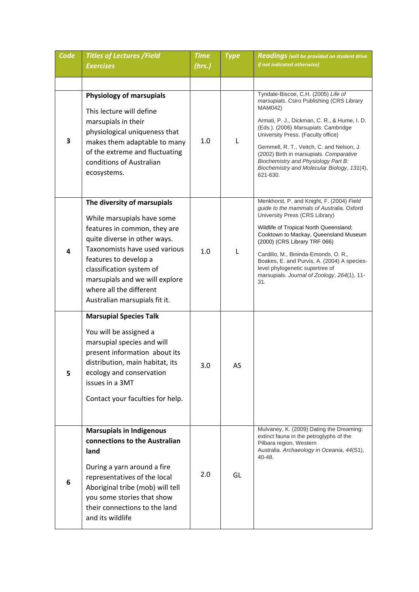| Code | <b>Titles of Lectures /Field</b><br><b>Exercises</b>                                                                                                                                                                                                                                                          | <b>Time</b><br>(hrs.) | <b>Type</b> | <b>Readings</b> (will be provided on student drive<br>if not indicated otherwise)                                                                                                                                                                                                                                                                                                                                           |
|------|---------------------------------------------------------------------------------------------------------------------------------------------------------------------------------------------------------------------------------------------------------------------------------------------------------------|-----------------------|-------------|-----------------------------------------------------------------------------------------------------------------------------------------------------------------------------------------------------------------------------------------------------------------------------------------------------------------------------------------------------------------------------------------------------------------------------|
|      |                                                                                                                                                                                                                                                                                                               |                       |             |                                                                                                                                                                                                                                                                                                                                                                                                                             |
|      |                                                                                                                                                                                                                                                                                                               |                       |             |                                                                                                                                                                                                                                                                                                                                                                                                                             |
| 3    | <b>Physiology of marsupials</b><br>This lecture will define<br>marsupials in their<br>physiological uniqueness that<br>makes them adaptable to many<br>of the extreme and fluctuating<br>conditions of Australian<br>ecosystems.                                                                              | 1.0                   | L           | Tyndale-Biscoe, C.H. (2005) Life of<br>marsupials. Csiro Publishing (CRS Library<br>MAM042)<br>Armati, P. J., Dickman, C. R., & Hume, I. D.<br>(Eds.). (2006) Marsupials. Cambridge<br>University Press. (Faculty office)<br>Gemmell, R. T., Veitch, C. and Nelson, J.<br>(2002) Birth in marsupials. Comparative<br>Biochemistry and Physiology Part B:<br>Biochemistry and Molecular Biology, 131(4),<br>621-630.         |
| 4    | The diversity of marsupials<br>While marsupials have some<br>features in common, they are<br>quite diverse in other ways.<br>Taxonomists have used various<br>features to develop a<br>classification system of<br>marsupials and we will explore<br>where all the different<br>Australian marsupials fit it. | 1.0                   | L           | Menkhorst, P. and Knight, F. (2004) Field<br>guide to the mammals of Australia. Oxford<br>University Press (CRS Library)<br>Wildlife of Tropical North Queensland;<br>Cooktown to Mackay, Queensland Museum<br>(2000) (CRS Library TRF 066)<br>Cardillo, M., Bininda-Emonds, O. R.,<br>Boakes, E. and Purvis, A. (2004) A species-<br>level phylogenetic supertree of<br>marsupials. Journal of Zoology, 264(1), 11-<br>31. |
| 5    | <b>Marsupial Species Talk</b><br>You will be assigned a<br>marsupial species and will<br>present information about its<br>distribution, main habitat, its<br>ecology and conservation<br>issues in a 3MT<br>Contact your faculties for help.                                                                  | 3.0                   | AS          |                                                                                                                                                                                                                                                                                                                                                                                                                             |
| 6    | <b>Marsupials in Indigenous</b><br>connections to the Australian<br>land<br>During a yarn around a fire<br>representatives of the local<br>Aboriginal tribe (mob) will tell<br>you some stories that show<br>their connections to the land<br>and its wildlife                                                | 2.0                   | GL          | Mulvaney, K. (2009) Dating the Dreaming:<br>extinct fauna in the petroglyphs of the<br>Pilbara region, Western<br>Australia. Archaeology in Oceania, 44(S1),<br>40-48.                                                                                                                                                                                                                                                      |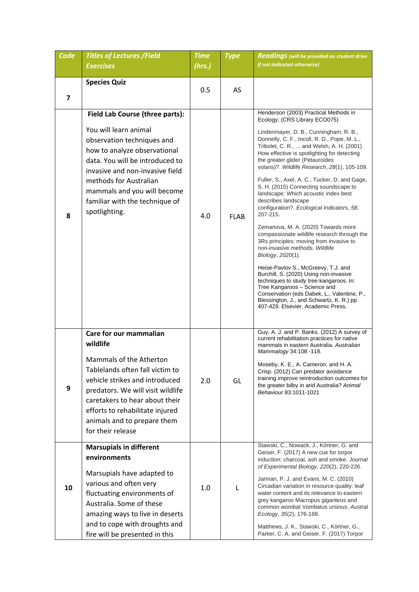| Code                    | <b>Titles of Lectures / Field</b><br><b>Exercises</b>                                                                                                                                                                                                                                                    | <b>Time</b> | <b>Type</b> | <b>Readings</b> (will be provided on student drive<br>if not indicated otherwise)                                                                                                                                                                                                                                                                                                                                                                                                                                                                                                                                                                                                                                                                                                                                                                                                                                                                                                                                                                        |
|-------------------------|----------------------------------------------------------------------------------------------------------------------------------------------------------------------------------------------------------------------------------------------------------------------------------------------------------|-------------|-------------|----------------------------------------------------------------------------------------------------------------------------------------------------------------------------------------------------------------------------------------------------------------------------------------------------------------------------------------------------------------------------------------------------------------------------------------------------------------------------------------------------------------------------------------------------------------------------------------------------------------------------------------------------------------------------------------------------------------------------------------------------------------------------------------------------------------------------------------------------------------------------------------------------------------------------------------------------------------------------------------------------------------------------------------------------------|
|                         |                                                                                                                                                                                                                                                                                                          | (hrs.)      |             |                                                                                                                                                                                                                                                                                                                                                                                                                                                                                                                                                                                                                                                                                                                                                                                                                                                                                                                                                                                                                                                          |
| $\overline{\mathbf{z}}$ | <b>Species Quiz</b>                                                                                                                                                                                                                                                                                      | 0.5         | AS          |                                                                                                                                                                                                                                                                                                                                                                                                                                                                                                                                                                                                                                                                                                                                                                                                                                                                                                                                                                                                                                                          |
| 8                       | Field Lab Course (three parts):<br>You will learn animal<br>observation techniques and<br>how to analyze observational<br>data. You will be introduced to<br>invasive and non-invasive field<br>methods for Australian<br>mammals and you will become<br>familiar with the technique of<br>spotlighting. | 4.0         | <b>FLAB</b> | Henderson (2003) Practical Methods in<br>Ecology; (CRS Library ECO075)<br>Lindenmayer, D. B., Cunningham, R. B.,<br>Donnelly, C. F., Incoll, R. D., Pope, M. L.,<br>Tribolet, C. R.,  and Welsh, A. H. (2001)<br>How effective is spotlighting for detecting<br>the greater glider (Petauroides<br>volans)?. Wildlife Research, 28(1), 105-109.<br>Fuller, S., Axel, A. C., Tucker, D. and Gage,<br>S. H. (2015) Connecting soundscape to<br>landscape: Which acoustic index best<br>describes landscape<br>configuration?. Ecological Indicators, 58,<br>207-215.<br>Zemanova, M. A. (2020) Towards more<br>compassionate wildlife research through the<br>3Rs principles: moving from invasive to<br>non-invasive methods. Wildlife<br>Biology, 2020(1).<br>Heise-Pavlov S., McGreevy, T.J. and<br>Burchill, S. (2020) Using non-invasive<br>techniques to study tree-kangaroos. In:<br>Tree Kangaroos - Science and<br>Conservation (eds Dabek, L., Valentine, P.,<br>Blessington, J., and Schwartz, K. R.) pp.<br>407-429. Elsevier, Academic Press. |
| 9                       | Care for our mammalian<br>wildlife<br>Mammals of the Atherton<br>Tablelands often fall victim to<br>vehicle strikes and introduced<br>predators. We will visit wildlife<br>caretakers to hear about their<br>efforts to rehabilitate injured<br>animals and to prepare them<br>for their release         | 2.0         | GL          | Guy, A. J. and P. Banks. (2012) A survey of<br>current rehabilitation practices for native<br>mammals in eastern Australia. Australian<br>Mammalogy 34:108 -118.<br>Moseby, K. E., A. Cameron, and H. A.<br>Crisp. (2012) Can predator avoidance<br>training improve reintroduction outcomes for<br>the greater bilby in arid Australia? Animal<br>Behaviour 83:1011-1021                                                                                                                                                                                                                                                                                                                                                                                                                                                                                                                                                                                                                                                                                |
| 10                      | <b>Marsupials in different</b><br>environments<br>Marsupials have adapted to<br>various and often very<br>fluctuating environments of<br>Australia. Some of these<br>amazing ways to live in deserts<br>and to cope with droughts and<br>fire will be presented in this                                  | 1.0         | L           | Stawski, C., Nowack, J., Körtner, G. and<br>Geiser, F. (2017) A new cue for torpor<br>induction: charcoal, ash and smoke. Journal<br>of Experimental Biology, 220(2), 220-226.<br>Jarman, P. J. and Evans, M. C. (2010)<br>Circadian variation in resource quality: leaf<br>water content and its relevance to eastern<br>grey kangaroo Macropus giganteus and<br>common wombat Vombatus ursinus. Austral<br>Ecology, 35(2), 176-188.<br>Matthews, J. K., Stawski, C., Körtner, G.,<br>Parker, C. A. and Geiser, F. (2017) Torpor                                                                                                                                                                                                                                                                                                                                                                                                                                                                                                                        |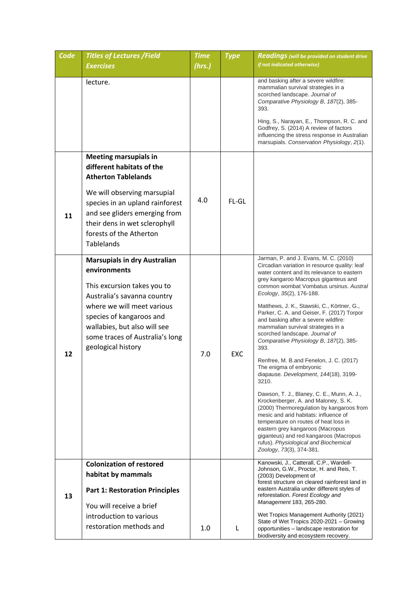| Code | <b>Titles of Lectures /Field</b>                                                                                                                                                                                                                                     | <b>Time</b> | <b>Type</b> | <b>Readings</b> (will be provided on student drive                                                                                                                                                                                                                                                                                                                                                                                                                                                                                                                                                                                                                                                                                                                                                                                                                                                                                                                                                                |
|------|----------------------------------------------------------------------------------------------------------------------------------------------------------------------------------------------------------------------------------------------------------------------|-------------|-------------|-------------------------------------------------------------------------------------------------------------------------------------------------------------------------------------------------------------------------------------------------------------------------------------------------------------------------------------------------------------------------------------------------------------------------------------------------------------------------------------------------------------------------------------------------------------------------------------------------------------------------------------------------------------------------------------------------------------------------------------------------------------------------------------------------------------------------------------------------------------------------------------------------------------------------------------------------------------------------------------------------------------------|
|      | <b>Exercises</b>                                                                                                                                                                                                                                                     | (hrs.)      |             | if not indicated otherwise)                                                                                                                                                                                                                                                                                                                                                                                                                                                                                                                                                                                                                                                                                                                                                                                                                                                                                                                                                                                       |
|      | lecture.                                                                                                                                                                                                                                                             |             |             | and basking after a severe wildfire:<br>mammalian survival strategies in a<br>scorched landscape. Journal of<br>Comparative Physiology B, 187(2), 385-<br>393.<br>Hing, S., Narayan, E., Thompson, R. C. and<br>Godfrey, S. (2014) A review of factors<br>influencing the stress response in Australian<br>marsupials. Conservation Physiology, 2(1).                                                                                                                                                                                                                                                                                                                                                                                                                                                                                                                                                                                                                                                             |
| 11   | <b>Meeting marsupials in</b><br>different habitats of the<br><b>Atherton Tablelands</b><br>We will observing marsupial<br>species in an upland rainforest<br>and see gliders emerging from<br>their dens in wet sclerophyll<br>forests of the Atherton<br>Tablelands | 4.0         | FL-GL       |                                                                                                                                                                                                                                                                                                                                                                                                                                                                                                                                                                                                                                                                                                                                                                                                                                                                                                                                                                                                                   |
| 12   | <b>Marsupials in dry Australian</b><br>environments<br>This excursion takes you to<br>Australia's savanna country<br>where we will meet various<br>species of kangaroos and<br>wallabies, but also will see<br>some traces of Australia's long<br>geological history | 7.0         | <b>EXC</b>  | Jarman, P. and J. Evans, M. C. (2010)<br>Circadian variation in resource quality: leaf<br>water content and its relevance to eastern<br>grey kangaroo Macropus giganteus and<br>common wombat Vombatus ursinus. Austral<br>Ecology, 35(2), 176-188.<br>Matthews, J. K., Stawski, C., Körtner, G.,<br>Parker, C. A. and Geiser, F. (2017) Torpor<br>and basking after a severe wildfire:<br>mammalian survival strategies in a<br>scorched landscape. Journal of<br>Comparative Physiology B, 187(2), 385-<br>393.<br>Renfree, M. B.and Fenelon, J. C. (2017)<br>The enigma of embryonic<br>diapause. Development, 144(18), 3199-<br>3210.<br>Dawson, T. J., Blaney, C. E., Munn, A. J.,<br>Krockenberger, A. and Maloney, S. K.<br>(2000) Thermoregulation by kangaroos from<br>mesic and arid habitats: influence of<br>temperature on routes of heat loss in<br>eastern grey kangaroos (Macropus<br>giganteus) and red kangaroos (Macropus<br>rufus). Physiological and Biochemical<br>Zoology, 73(3), 374-381. |
| 13   | <b>Colonization of restored</b><br>habitat by mammals<br><b>Part 1: Restoration Principles</b><br>You will receive a brief<br>introduction to various<br>restoration methods and                                                                                     | 1.0         | L           | Kanowski, J., Catterall, C.P., Wardell-<br>Johnson, G.W., Proctor, H. and Reis, T.<br>(2003) Development of<br>forest structure on cleared rainforest land in<br>eastern Australia under different styles of<br>reforestation. Forest Ecology and<br>Management 183, 265-280.<br>Wet Tropics Management Authority (2021)<br>State of Wet Tropics 2020-2021 - Growing<br>opportunities - landscape restoration for                                                                                                                                                                                                                                                                                                                                                                                                                                                                                                                                                                                                 |
|      |                                                                                                                                                                                                                                                                      |             |             | biodiversity and ecosystem recovery.                                                                                                                                                                                                                                                                                                                                                                                                                                                                                                                                                                                                                                                                                                                                                                                                                                                                                                                                                                              |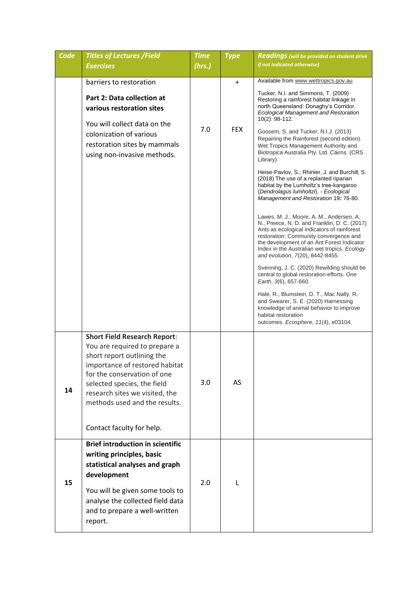| Code | <b>Titles of Lectures /Field</b><br><b>Exercises</b>                                                                                                                                                                                                                                               | <b>Time</b><br>(hrs.) | <b>Type</b>             | <b>Readings</b> (will be provided on student drive<br>if not indicated otherwise)                                                                                                                                                                                                                                                                                                                                                                                                                                                                                                                                                                                                                                                                                                                                                                                                                                                                                                                                                                                                                                                                                                                                                                                                               |
|------|----------------------------------------------------------------------------------------------------------------------------------------------------------------------------------------------------------------------------------------------------------------------------------------------------|-----------------------|-------------------------|-------------------------------------------------------------------------------------------------------------------------------------------------------------------------------------------------------------------------------------------------------------------------------------------------------------------------------------------------------------------------------------------------------------------------------------------------------------------------------------------------------------------------------------------------------------------------------------------------------------------------------------------------------------------------------------------------------------------------------------------------------------------------------------------------------------------------------------------------------------------------------------------------------------------------------------------------------------------------------------------------------------------------------------------------------------------------------------------------------------------------------------------------------------------------------------------------------------------------------------------------------------------------------------------------|
|      |                                                                                                                                                                                                                                                                                                    |                       |                         |                                                                                                                                                                                                                                                                                                                                                                                                                                                                                                                                                                                                                                                                                                                                                                                                                                                                                                                                                                                                                                                                                                                                                                                                                                                                                                 |
|      | barriers to restoration<br>Part 2: Data collection at<br>various restoration sites<br>You will collect data on the<br>colonization of various<br>restoration sites by mammals<br>using non-invasive methods.                                                                                       | 7.0                   | $\ddot{}$<br><b>FEX</b> | Available from www.wettropics.gov.au<br>Tucker, N.I. and Simmons, T. (2009)<br>Restoring a rainforest habitat linkage in<br>north Queensland: Donaghy's Corridor.<br><b>Ecological Management and Restoration</b><br>10(2): 98-112.<br>Goosem, S. and Tucker, N.I.J. (2013)<br>Repairing the Rainforest (second edition).<br>Wet Tropics Management Authority and<br>Biotropica Australia Pty. Ltd. Cairns. (CRS<br>Library)<br>Heise-Pavlov, S.; Rhinier, J. and Burchill, S.<br>(2018) The use of a replanted riparian<br>habitat by the Lumholtz's tree-kangaroo<br>(Dendrolagus lumholtzi). - Ecological<br>Management and Restoration 19: 76-80.<br>Lawes, M. J., Moore, A. M., Andersen, A.<br>N., Preece, N. D. and Franklin, D. C. (2017)<br>Ants as ecological indicators of rainforest<br>restoration: Community convergence and<br>the development of an Ant Forest Indicator<br>Index in the Australian wet tropics. Ecology<br>and evolution, 7(20), 8442-8455.<br>Svenning, J. C. (2020) Rewilding should be<br>central to global restoration efforts. One<br>Earth, 3(6), 657-660.<br>Hale, R., Blumstein, D. T., Mac Nally, R.<br>and Swearer, S. E. (2020) Harnessing<br>knowledge of animal behavior to improve<br>habitat restoration<br>outcomes. Ecosphere, 11(4), e03104. |
| 14   | <b>Short Field Research Report:</b><br>You are required to prepare a<br>short report outlining the<br>importance of restored habitat<br>for the conservation of one<br>selected species, the field<br>research sites we visited, the<br>methods used and the results.<br>Contact faculty for help. | 3.0                   | AS                      |                                                                                                                                                                                                                                                                                                                                                                                                                                                                                                                                                                                                                                                                                                                                                                                                                                                                                                                                                                                                                                                                                                                                                                                                                                                                                                 |
| 15   | <b>Brief introduction in scientific</b><br>writing principles, basic<br>statistical analyses and graph<br>development<br>You will be given some tools to<br>analyse the collected field data<br>and to prepare a well-written<br>report.                                                           | 2.0                   | L                       |                                                                                                                                                                                                                                                                                                                                                                                                                                                                                                                                                                                                                                                                                                                                                                                                                                                                                                                                                                                                                                                                                                                                                                                                                                                                                                 |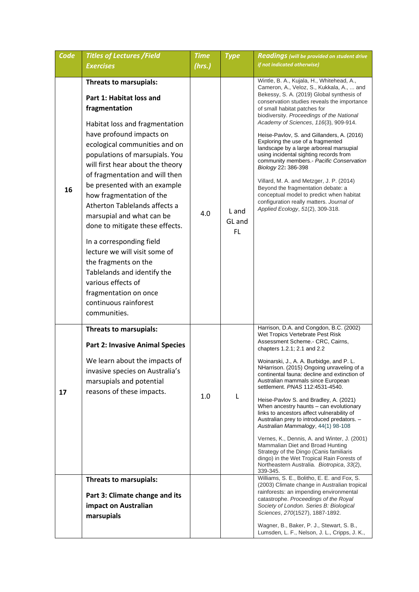| Code | <b>Titles of Lectures /Field</b>                                                                                                                                                                                                                                                                                                                                                                                                                                                                                                                                                                                                                    | <b>Time</b> | <b>Type</b>                  | <b>Readings</b> (will be provided on student drive                                                                                                                                                                                                                                                                                                                                                                                                                                                                                                                                                                                                                                                                                                                                                                            |
|------|-----------------------------------------------------------------------------------------------------------------------------------------------------------------------------------------------------------------------------------------------------------------------------------------------------------------------------------------------------------------------------------------------------------------------------------------------------------------------------------------------------------------------------------------------------------------------------------------------------------------------------------------------------|-------------|------------------------------|-------------------------------------------------------------------------------------------------------------------------------------------------------------------------------------------------------------------------------------------------------------------------------------------------------------------------------------------------------------------------------------------------------------------------------------------------------------------------------------------------------------------------------------------------------------------------------------------------------------------------------------------------------------------------------------------------------------------------------------------------------------------------------------------------------------------------------|
|      | <b>Exercises</b>                                                                                                                                                                                                                                                                                                                                                                                                                                                                                                                                                                                                                                    | (hrs.)      |                              | if not indicated otherwise)                                                                                                                                                                                                                                                                                                                                                                                                                                                                                                                                                                                                                                                                                                                                                                                                   |
| 16   | Threats to marsupials:<br>Part 1: Habitat loss and<br>fragmentation<br>Habitat loss and fragmentation<br>have profound impacts on<br>ecological communities and on<br>populations of marsupials. You<br>will first hear about the theory<br>of fragmentation and will then<br>be presented with an example<br>how fragmentation of the<br>Atherton Tablelands affects a<br>marsupial and what can be<br>done to mitigate these effects.<br>In a corresponding field<br>lecture we will visit some of<br>the fragments on the<br>Tablelands and identify the<br>various effects of<br>fragmentation on once<br>continuous rainforest<br>communities. | 4.0         | L and<br>GL and<br><b>FL</b> | Wintle, B. A., Kujala, H., Whitehead, A.,<br>Cameron, A., Veloz, S., Kukkala, A.,  and<br>Bekessy, S. A. (2019) Global synthesis of<br>conservation studies reveals the importance<br>of small habitat patches for<br>biodiversity. Proceedings of the National<br>Academy of Sciences, 116(3), 909-914.<br>Heise-Pavlov, S. and Gillanders, A. (2016)<br>Exploring the use of a fragmented<br>landscape by a large arboreal marsupial<br>using incidental sighting records from<br>community members.- Pacific Conservation<br>Biology 22: 386-398<br>Villard, M. A. and Metzger, J. P. (2014)<br>Beyond the fragmentation debate: a<br>conceptual model to predict when habitat<br>configuration really matters. Journal of<br>Applied Ecology, 51(2), 309-318.                                                             |
| 17   | Threats to marsupials:<br><b>Part 2: Invasive Animal Species</b><br>We learn about the impacts of<br>invasive species on Australia's<br>marsupials and potential<br>reasons of these impacts.                                                                                                                                                                                                                                                                                                                                                                                                                                                       | 1.0         | L                            | Harrison, D.A. and Congdon, B.C. (2002)<br>Wet Tropics Vertebrate Pest Risk<br>Assessment Scheme.- CRC, Cairns,<br>chapters 1.2.1; 2.1 and 2.2<br>Woinarski, J., A. A. Burbidge, and P. L.<br>NHarrison. (2015) Ongoing unraveling of a<br>continental fauna: decline and extinction of<br>Australian mammals since European<br>settlement. PNAS 112:4531-4540.<br>Heise-Pavlov S. and Bradley, A. (2021)<br>When ancestry haunts - can evolutionary<br>links to ancestors affect vulnerability of<br>Australian prey to introduced predators. -<br>Australian Mammalogy, 44(1) 98-108<br>Vernes, K., Dennis, A. and Winter, J. (2001)<br>Mammalian Diet and Broad Hunting<br>Strategy of the Dingo (Canis familiaris<br>dingo) in the Wet Tropical Rain Forests of<br>Northeastern Australia. Biotropica, 33(2),<br>339-345. |
|      | Threats to marsupials:<br>Part 3: Climate change and its<br>impact on Australian<br>marsupials                                                                                                                                                                                                                                                                                                                                                                                                                                                                                                                                                      |             |                              | Williams, S. E., Bolitho, E. E. and Fox, S.<br>(2003) Climate change in Australian tropical<br>rainforests: an impending environmental<br>catastrophe. Proceedings of the Royal<br>Society of London. Series B: Biological<br>Sciences, 270(1527), 1887-1892.<br>Wagner, B., Baker, P. J., Stewart, S. B.,<br>Lumsden, L. F., Nelson, J. L., Cripps, J. K.,                                                                                                                                                                                                                                                                                                                                                                                                                                                                   |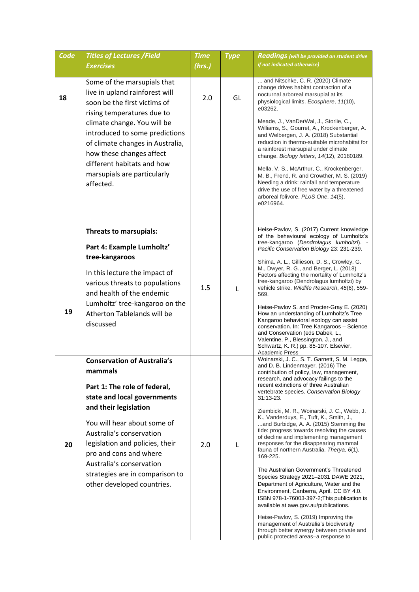| Code | <b>Titles of Lectures /Field</b><br><b>Exercises</b>                                                                                                                                                                                                                                                                                                       | <b>Time</b><br>(hrs.) | <b>Type</b> | <b>Readings</b> (will be provided on student drive<br>if not indicated otherwise)                                                                                                                                                                                                                                                                                                                                                                                                                                                                                                                                                                                                                                                                                                                                                                                                                                                                                                                                                                            |
|------|------------------------------------------------------------------------------------------------------------------------------------------------------------------------------------------------------------------------------------------------------------------------------------------------------------------------------------------------------------|-----------------------|-------------|--------------------------------------------------------------------------------------------------------------------------------------------------------------------------------------------------------------------------------------------------------------------------------------------------------------------------------------------------------------------------------------------------------------------------------------------------------------------------------------------------------------------------------------------------------------------------------------------------------------------------------------------------------------------------------------------------------------------------------------------------------------------------------------------------------------------------------------------------------------------------------------------------------------------------------------------------------------------------------------------------------------------------------------------------------------|
| 18   | Some of the marsupials that<br>live in upland rainforest will<br>soon be the first victims of<br>rising temperatures due to<br>climate change. You will be<br>introduced to some predictions<br>of climate changes in Australia,<br>how these changes affect<br>different habitats and how<br>marsupials are particularly<br>affected.                     | 2.0                   | GL          | and Nitschke, C. R. (2020) Climate<br>change drives habitat contraction of a<br>nocturnal arboreal marsupial at its<br>physiological limits. Ecosphere, 11(10),<br>e03262.<br>Meade, J., VanDerWal, J., Storlie, C.,<br>Williams, S., Gourret, A., Krockenberger, A.<br>and Welbergen, J. A. (2018) Substantial<br>reduction in thermo-suitable microhabitat for<br>a rainforest marsupial under climate<br>change. Biology letters, 14(12), 20180189.<br>Mella, V. S., McArthur, C., Krockenberger,<br>M. B., Frend, R. and Crowther, M. S. (2019)<br>Needing a drink: rainfall and temperature<br>drive the use of free water by a threatened<br>arboreal folivore. PLoS One, 14(5),<br>e0216964.                                                                                                                                                                                                                                                                                                                                                          |
| 19   | Threats to marsupials:<br>Part 4: Example Lumholtz'<br>tree-kangaroos<br>In this lecture the impact of<br>various threats to populations<br>and health of the endemic<br>Lumholtz' tree-kangaroo on the<br>Atherton Tablelands will be<br>discussed                                                                                                        | 1.5                   | L           | Heise-Pavlov, S. (2017) Current knowledge<br>of the behavioural ecology of Lumholtz's<br>tree-kangaroo (Dendrolagus lumholtzi). -<br>Pacific Conservation Biology 23: 231-239.<br>Shima, A. L., Gillieson, D. S., Crowley, G.<br>M., Dwyer, R. G., and Berger, L. (2018)<br>Factors affecting the mortality of Lumholtz's<br>tree-kangaroo (Dendrolagus lumholtzi) by<br>vehicle strike. Wildlife Research, 45(6), 559-<br>569.<br>Heise-Pavlov S. and Procter-Gray E. (2020)<br>How an understanding of Lumholtz's Tree<br>Kangaroo behavioral ecology can assist<br>conservation. In: Tree Kangaroos - Science<br>and Conservation (eds Dabek, L.,<br>Valentine, P., Blessington, J., and<br>Schwartz, K. R.) pp. 85-107. Elsevier,<br><b>Academic Press</b>                                                                                                                                                                                                                                                                                               |
| 20   | <b>Conservation of Australia's</b><br>mammals<br>Part 1: The role of federal,<br>state and local governments<br>and their legislation<br>You will hear about some of<br>Australia's conservation<br>legislation and policies, their<br>pro and cons and where<br>Australia's conservation<br>strategies are in comparison to<br>other developed countries. | 2.0                   | L           | Woinarski, J. C., S. T. Garnett, S. M. Legge,<br>and D. B. Lindenmayer. (2016) The<br>contribution of policy, law, management,<br>research, and advocacy failings to the<br>recent extinctions of three Australian<br>vertebrate species. Conservation Biology<br>$31:13-23.$<br>Ziembicki, M. R., Woinarski, J. C., Webb, J.<br>K., Vanderduys, E., Tuft, K., Smith, J.,<br>and Burbidge, A. A. (2015) Stemming the<br>tide: progress towards resolving the causes<br>of decline and implementing management<br>responses for the disappearing mammal<br>fauna of northern Australia. Therya, 6(1),<br>169-225.<br>The Australian Government's Threatened<br>Species Strategy 2021-2031 DAWE 2021,<br>Department of Agriculture, Water and the<br>Environment, Canberra, April. CC BY 4.0.<br>ISBN 978-1-76003-397-2; This publication is<br>available at awe.gov.au/publications.<br>Heise-Pavlov, S. (2019) Improving the<br>management of Australia's biodiversity<br>through better synergy between private and<br>public protected areas-a response to |